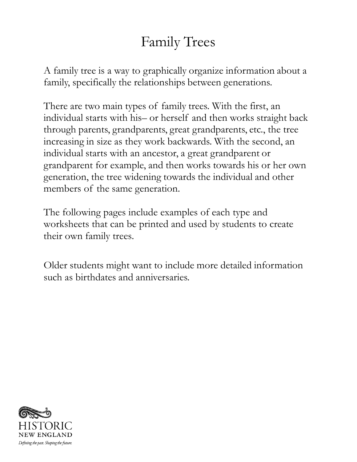## Family Trees

A family tree is a way to graphically organize information about a family, specifically the relationships between generations.

There are two main types of family trees. With the first, an individual starts with his– or herself and then works straight back through parents, grandparents, great grandparents, etc., the tree increasing in size as they work backwards. With the second, an individual starts with an ancestor, a great grandparent or grandparent for example, and then works towards his or her own generation, the tree widening towards the individual and other members of the same generation.

The following pages include examples of each type and worksheets that can be printed and used by students to create their own family trees.

Older students might want to include more detailed information such as birthdates and anniversaries.

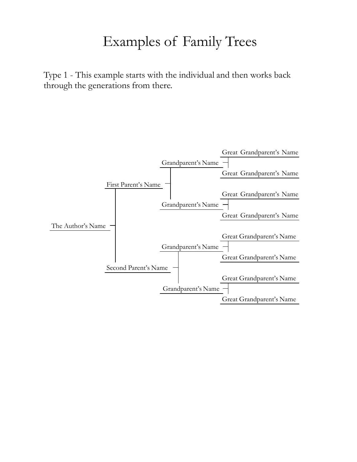### Examples of Family Trees

Type 1 - This example starts with the individual and then works back through the generations from there.

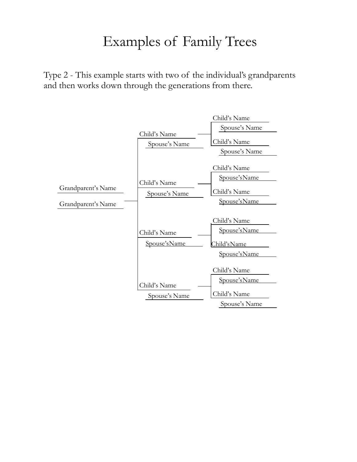### Examples of Family Trees

Type 2 - This example starts with two of the individual's grandparents and then works down through the generations from there.

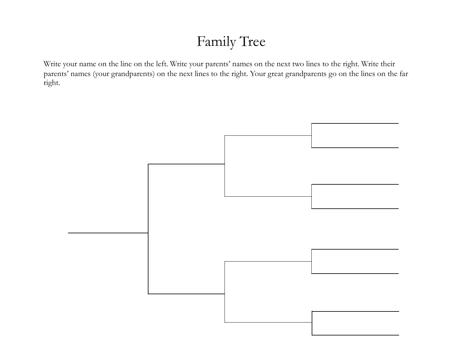# Family Tree

Write your name on the line on the left. Write your parents' names on the next two lines to the right. Write their parents' names (your grandparents) on the next lines to the right. Your great grandparents go on the lines on the far right.